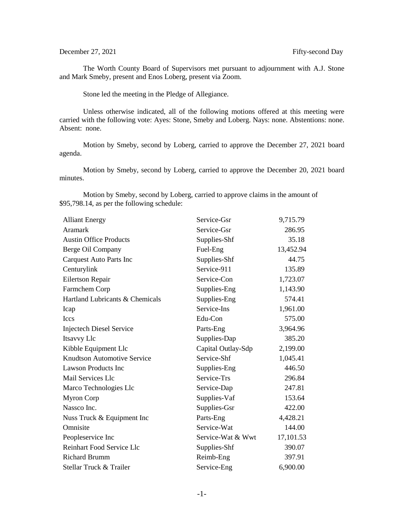## December 27, 2021 Fifty-second Day

The Worth County Board of Supervisors met pursuant to adjournment with A.J. Stone and Mark Smeby, present and Enos Loberg, present via Zoom.

Stone led the meeting in the Pledge of Allegiance.

Unless otherwise indicated, all of the following motions offered at this meeting were carried with the following vote: Ayes: Stone, Smeby and Loberg. Nays: none. Abstentions: none. Absent: none.

Motion by Smeby, second by Loberg, carried to approve the December 27, 2021 board agenda.

Motion by Smeby, second by Loberg, carried to approve the December 20, 2021 board minutes.

Motion by Smeby, second by Loberg, carried to approve claims in the amount of \$95,798.14, as per the following schedule:

| <b>Alliant Energy</b>              | Service-Gsr        | 9,715.79  |
|------------------------------------|--------------------|-----------|
| Aramark                            | Service-Gsr        | 286.95    |
| <b>Austin Office Products</b>      | Supplies-Shf       | 35.18     |
| Berge Oil Company                  | Fuel-Eng           | 13,452.94 |
| Carquest Auto Parts Inc            | Supplies-Shf       | 44.75     |
| Centurylink                        | Service-911        | 135.89    |
| Eilertson Repair                   | Service-Con        | 1,723.07  |
| Farmchem Corp                      | Supplies-Eng       | 1,143.90  |
| Hartland Lubricants & Chemicals    | Supplies-Eng       | 574.41    |
| Icap                               | Service-Ins        | 1,961.00  |
| Iccs                               | Edu-Con            | 575.00    |
| <b>Injectech Diesel Service</b>    | Parts-Eng          | 3,964.96  |
| Itsavvy Llc                        | Supplies-Dap       | 385.20    |
| Kibble Equipment Llc               | Capital Outlay-Sdp | 2,199.00  |
| <b>Knudtson Automotive Service</b> | Service-Shf        | 1,045.41  |
| <b>Lawson Products Inc</b>         | Supplies-Eng       | 446.50    |
| Mail Services Llc                  | Service-Trs        | 296.84    |
| Marco Technologies Llc             | Service-Dap        | 247.81    |
| <b>Myron Corp</b>                  | Supplies-Vaf       | 153.64    |
| Nassco Inc.                        | Supplies-Gsr       | 422.00    |
| Nuss Truck & Equipment Inc         | Parts-Eng          | 4,428.21  |
| Omnisite                           | Service-Wat        | 144.00    |
| Peopleservice Inc                  | Service-Wat & Wwt  | 17,101.53 |
| Reinhart Food Service Llc          | Supplies-Shf       | 390.07    |
| <b>Richard Brumm</b>               | Reimb-Eng          | 397.91    |
| Stellar Truck & Trailer            | Service-Eng        | 6,900.00  |